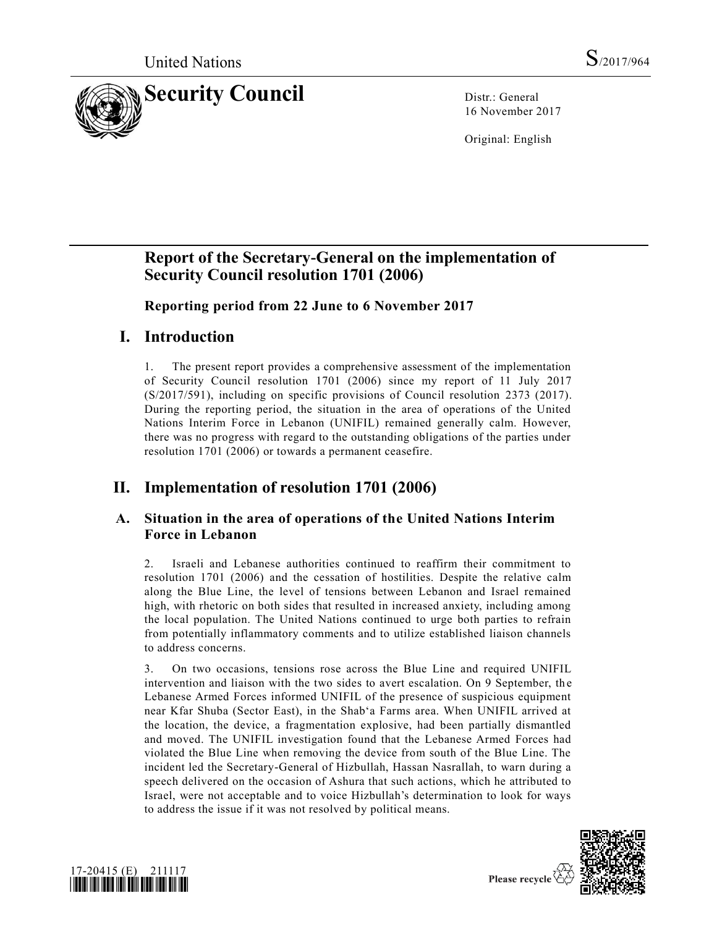

16 November 2017

Original: English

# **Report of the Secretary-General on the implementation of Security Council resolution [1701 \(2006\)](https://undocs.org/S/RES/1701(2006))**

**Reporting period from 22 June to 6 November 2017**

# **I. Introduction**

1. The present report provides a comprehensive assessment of the implementation of Security Council resolution [1701 \(2006\)](https://undocs.org/S/RES/1701(2006)) since my report of 11 July 2017 [\(S/2017/591\)](https://undocs.org/S/2017/591), including on specific provisions of Council resolution [2373 \(2017\).](https://undocs.org/S/RES/2373(2017)) During the reporting period, the situation in the area of operations of the United Nations Interim Force in Lebanon (UNIFIL) remained generally calm. However, there was no progress with regard to the outstanding obligations of the parties under resolution [1701 \(2006\)](https://undocs.org/S/RES/1701(2006)) or towards a permanent ceasefire.

# **II. Implementation of resolution [1701 \(2006\)](https://undocs.org/S/RES/1701(2006))**

### **A. Situation in the area of operations of the United Nations Interim Force in Lebanon**

2. Israeli and Lebanese authorities continued to reaffirm their commitment to resolution [1701 \(2006\)](https://undocs.org/S/RES/1701(2006)) and the cessation of hostilities. Despite the relative calm along the Blue Line, the level of tensions between Lebanon and Israel remained high, with rhetoric on both sides that resulted in increased anxiety, including among the local population. The United Nations continued to urge both parties to refrain from potentially inflammatory comments and to utilize established liaison channels to address concerns.

3. On two occasions, tensions rose across the Blue Line and required UNIFIL intervention and liaison with the two sides to avert escalation. On 9 September, the Lebanese Armed Forces informed UNIFIL of the presence of suspicious equipment near Kfar Shuba (Sector East), in the Shabʻa Farms area. When UNIFIL arrived at the location, the device, a fragmentation explosive, had been partially dismantled and moved. The UNIFIL investigation found that the Lebanese Armed Forces had violated the Blue Line when removing the device from south of the Blue Line. The incident led the Secretary-General of Hizbullah, Hassan Nasrallah, to warn during a speech delivered on the occasion of Ashura that such actions, which he attributed to Israel, were not acceptable and to voice Hizbullah's determination to look for ways to address the issue if it was not resolved by political means.



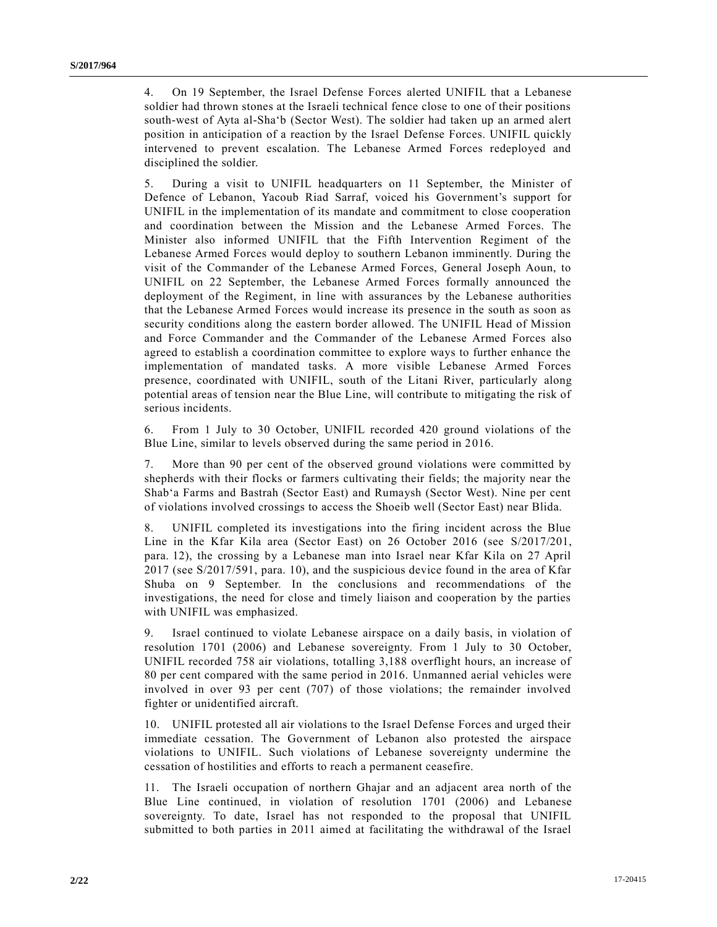4. On 19 September, the Israel Defense Forces alerted UNIFIL that a Lebanese soldier had thrown stones at the Israeli technical fence close to one of their positions south-west of Ayta al-Sha'b (Sector West). The soldier had taken up an armed alert position in anticipation of a reaction by the Israel Defense Forces. UNIFIL quickly intervened to prevent escalation. The Lebanese Armed Forces redeployed and disciplined the soldier.

5. During a visit to UNIFIL headquarters on 11 September, the Minister of Defence of Lebanon, Yacoub Riad Sarraf, voiced his Government's support for UNIFIL in the implementation of its mandate and commitment to close cooperation and coordination between the Mission and the Lebanese Armed Forces. The Minister also informed UNIFIL that the Fifth Intervention Regiment of the Lebanese Armed Forces would deploy to southern Lebanon imminently. During the visit of the Commander of the Lebanese Armed Forces, General Joseph Aoun, to UNIFIL on 22 September, the Lebanese Armed Forces formally announced the deployment of the Regiment, in line with assurances by the Lebanese authorities that the Lebanese Armed Forces would increase its presence in the south as soon as security conditions along the eastern border allowed. The UNIFIL Head of Mission and Force Commander and the Commander of the Lebanese Armed Forces also agreed to establish a coordination committee to explore ways to further enhance the implementation of mandated tasks. A more visible Lebanese Armed Forces presence, coordinated with UNIFIL, south of the Litani River, particularly along potential areas of tension near the Blue Line, will contribute to mitigating the risk of serious incidents.

6. From 1 July to 30 October, UNIFIL recorded 420 ground violations of the Blue Line, similar to levels observed during the same period in 2016.

7. More than 90 per cent of the observed ground violations were committed by shepherds with their flocks or farmers cultivating their fields; the majority near the Shab'a Farms and Bastrah (Sector East) and Rumaysh (Sector West). Nine per cent of violations involved crossings to access the Shoeib well (Sector East) near Blida.

8. UNIFIL completed its investigations into the firing incident across the Blue Line in the Kfar Kila area (Sector East) on 26 October 2016 (see [S/2017/201,](https://undocs.org/S/2017/201) para. 12), the crossing by a Lebanese man into Israel near Kfar Kila on 27 April 2017 (see [S/2017/591,](https://undocs.org/S/2017/591) para. 10), and the suspicious device found in the area of Kfar Shuba on 9 September. In the conclusions and recommendations of the investigations, the need for close and timely liaison and cooperation by the parties with UNIFIL was emphasized.

9. Israel continued to violate Lebanese airspace on a daily basis, in violation of resolution [1701 \(2006\)](https://undocs.org/S/RES/1701(2006)) and Lebanese sovereignty. From 1 July to 30 October, UNIFIL recorded 758 air violations, totalling 3,188 overflight hours, an increase of 80 per cent compared with the same period in 2016. Unmanned aerial vehicles were involved in over 93 per cent (707) of those violations; the remainder involved fighter or unidentified aircraft.

10. UNIFIL protested all air violations to the Israel Defense Forces and urged their immediate cessation. The Government of Lebanon also protested the airspace violations to UNIFIL. Such violations of Lebanese sovereignty undermine the cessation of hostilities and efforts to reach a permanent ceasefire.

11. The Israeli occupation of northern Ghajar and an adjacent area north of the Blue Line continued, in violation of resolution [1701 \(2006\)](https://undocs.org/S/RES/1701(2006)) and Lebanese sovereignty. To date, Israel has not responded to the proposal that UNIFIL submitted to both parties in 2011 aimed at facilitating the withdrawal of the Israel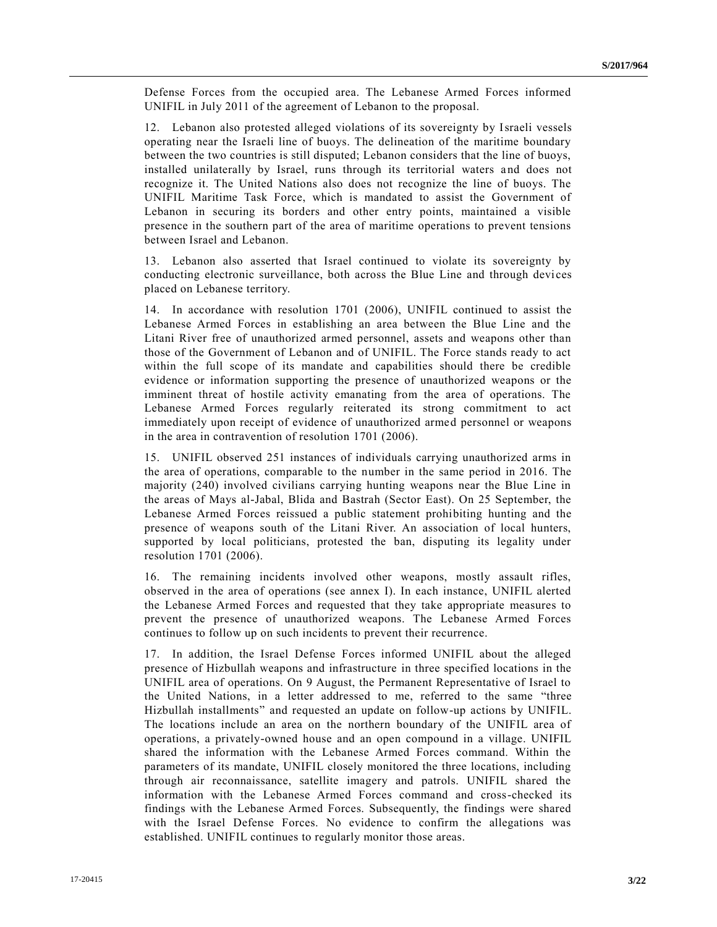Defense Forces from the occupied area. The Lebanese Armed Forces informed UNIFIL in July 2011 of the agreement of Lebanon to the proposal.

12. Lebanon also protested alleged violations of its sovereignty by Israeli vessels operating near the Israeli line of buoys. The delineation of the maritime boundary between the two countries is still disputed; Lebanon considers that the line of buoys, installed unilaterally by Israel, runs through its territorial waters and does not recognize it. The United Nations also does not recognize the line of buoys. The UNIFIL Maritime Task Force, which is mandated to assist the Government of Lebanon in securing its borders and other entry points, maintained a visible presence in the southern part of the area of maritime operations to prevent tensions between Israel and Lebanon.

13. Lebanon also asserted that Israel continued to violate its sovereignty by conducting electronic surveillance, both across the Blue Line and through devices placed on Lebanese territory.

14. In accordance with resolution [1701 \(2006\),](https://undocs.org/S/RES/1701(2006)) UNIFIL continued to assist the Lebanese Armed Forces in establishing an area between the Blue Line and the Litani River free of unauthorized armed personnel, assets and weapons other than those of the Government of Lebanon and of UNIFIL. The Force stands ready to act within the full scope of its mandate and capabilities should there be credible evidence or information supporting the presence of unauthorized weapons or the imminent threat of hostile activity emanating from the area of operations. The Lebanese Armed Forces regularly reiterated its strong commitment to act immediately upon receipt of evidence of unauthorized armed personnel or weapons in the area in contravention of resolution [1701 \(2006\).](https://undocs.org/S/RES/1701(2006))

15. UNIFIL observed 251 instances of individuals carrying unauthorized arms in the area of operations, comparable to the number in the same period in 2016. The majority (240) involved civilians carrying hunting weapons near the Blue Line in the areas of Mays al-Jabal, Blida and Bastrah (Sector East). On 25 September, the Lebanese Armed Forces reissued a public statement prohibiting hunting and the presence of weapons south of the Litani River. An association of local hunters, supported by local politicians, protested the ban, disputing its legality under resolution [1701 \(2006\).](https://undocs.org/S/RES/1701(2006))

16. The remaining incidents involved other weapons, mostly assault rifles, observed in the area of operations (see annex I). In each instance, UNIFIL alerted the Lebanese Armed Forces and requested that they take appropriate measures to prevent the presence of unauthorized weapons. The Lebanese Armed Forces continues to follow up on such incidents to prevent their recurrence.

17. In addition, the Israel Defense Forces informed UNIFIL about the alleged presence of Hizbullah weapons and infrastructure in three specified locations in the UNIFIL area of operations. On 9 August, the Permanent Representative of Israel to the United Nations, in a letter addressed to me, referred to the same "three Hizbullah installments" and requested an update on follow-up actions by UNIFIL. The locations include an area on the northern boundary of the UNIFIL area of operations, a privately-owned house and an open compound in a village. UNIFIL shared the information with the Lebanese Armed Forces command. Within the parameters of its mandate, UNIFIL closely monitored the three locations, including through air reconnaissance, satellite imagery and patrols. UNIFIL shared the information with the Lebanese Armed Forces command and cross-checked its findings with the Lebanese Armed Forces. Subsequently, the findings were shared with the Israel Defense Forces. No evidence to confirm the allegations was established. UNIFIL continues to regularly monitor those areas.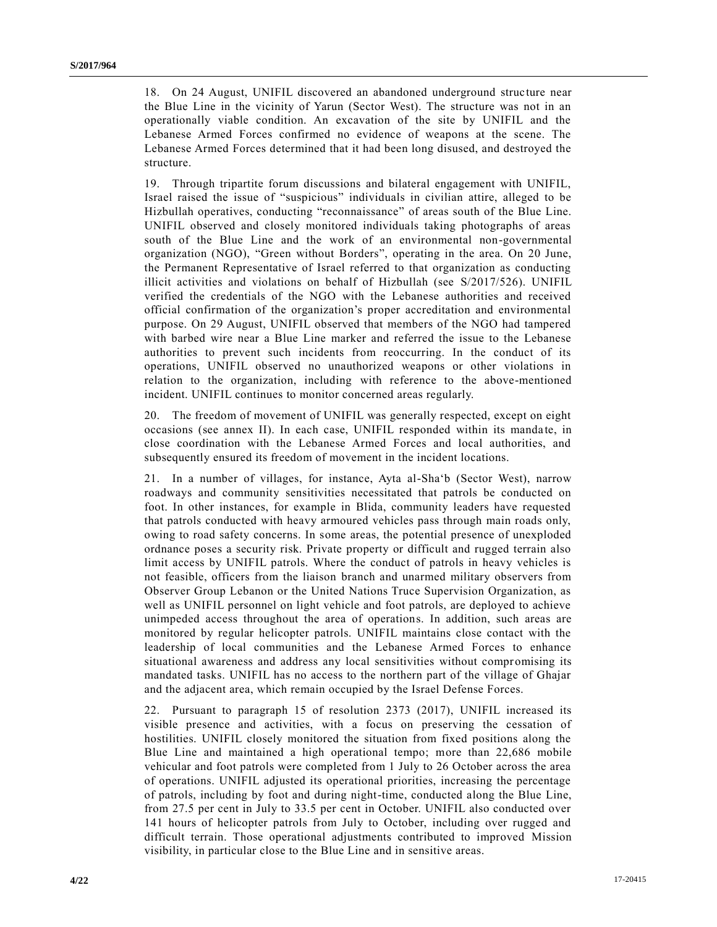18. On 24 August, UNIFIL discovered an abandoned underground structure near the Blue Line in the vicinity of Yarun (Sector West). The structure was not in an operationally viable condition. An excavation of the site by UNIFIL and the Lebanese Armed Forces confirmed no evidence of weapons at the scene. The Lebanese Armed Forces determined that it had been long disused, and destroyed the structure.

19. Through tripartite forum discussions and bilateral engagement with UNIFIL, Israel raised the issue of "suspicious" individuals in civilian attire, alleged to be Hizbullah operatives, conducting "reconnaissance" of areas south of the Blue Line. UNIFIL observed and closely monitored individuals taking photographs of areas south of the Blue Line and the work of an environmental non-governmental organization (NGO), "Green without Borders", operating in the area. On 20 June, the Permanent Representative of Israel referred to that organization as conducting illicit activities and violations on behalf of Hizbullah (see [S/2017/526\)](https://undocs.org/S/2017/526). UNIFIL verified the credentials of the NGO with the Lebanese authorities and received official confirmation of the organization's proper accreditation and environmental purpose. On 29 August, UNIFIL observed that members of the NGO had tampered with barbed wire near a Blue Line marker and referred the issue to the Lebanese authorities to prevent such incidents from reoccurring. In the conduct of its operations, UNIFIL observed no unauthorized weapons or other violations in relation to the organization, including with reference to the above-mentioned incident. UNIFIL continues to monitor concerned areas regularly.

20. The freedom of movement of UNIFIL was generally respected, except on eight occasions (see annex II). In each case, UNIFIL responded within its manda te, in close coordination with the Lebanese Armed Forces and local authorities, and subsequently ensured its freedom of movement in the incident locations.

21. In a number of villages, for instance, Ayta al-Sha'b (Sector West), narrow roadways and community sensitivities necessitated that patrols be conducted on foot. In other instances, for example in Blida, community leaders have requested that patrols conducted with heavy armoured vehicles pass through main roads only, owing to road safety concerns. In some areas, the potential presence of unexploded ordnance poses a security risk. Private property or difficult and rugged terrain also limit access by UNIFIL patrols. Where the conduct of patrols in heavy vehicles is not feasible, officers from the liaison branch and unarmed military observers from Observer Group Lebanon or the United Nations Truce Supervision Organization, as well as UNIFIL personnel on light vehicle and foot patrols, are deployed to achieve unimpeded access throughout the area of operations. In addition, such areas are monitored by regular helicopter patrols. UNIFIL maintains close contact with the leadership of local communities and the Lebanese Armed Forces to enhance situational awareness and address any local sensitivities without compromising its mandated tasks. UNIFIL has no access to the northern part of the village of Ghajar and the adjacent area, which remain occupied by the Israel Defense Forces.

22. Pursuant to paragraph 15 of resolution [2373 \(2017\),](https://undocs.org/S/RES/2373(2017)) UNIFIL increased its visible presence and activities, with a focus on preserving the cessation of hostilities. UNIFIL closely monitored the situation from fixed positions along the Blue Line and maintained a high operational tempo; more than 22,686 mobile vehicular and foot patrols were completed from 1 July to 26 October across the area of operations. UNIFIL adjusted its operational priorities, increasing the percentage of patrols, including by foot and during night-time, conducted along the Blue Line, from 27.5 per cent in July to 33.5 per cent in October. UNIFIL also conducted over 141 hours of helicopter patrols from July to October, including over rugged and difficult terrain. Those operational adjustments contributed to improved Mission visibility, in particular close to the Blue Line and in sensitive areas.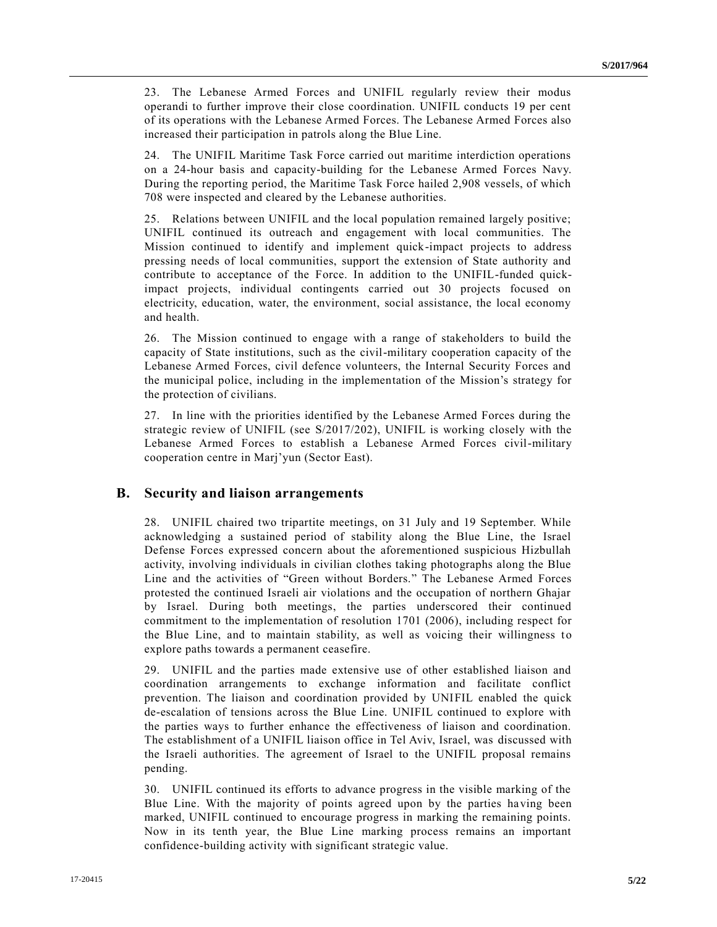23. The Lebanese Armed Forces and UNIFIL regularly review their modus operandi to further improve their close coordination. UNIFIL conducts 19 per cent of its operations with the Lebanese Armed Forces. The Lebanese Armed Forces also increased their participation in patrols along the Blue Line.

24. The UNIFIL Maritime Task Force carried out maritime interdiction operations on a 24-hour basis and capacity-building for the Lebanese Armed Forces Navy. During the reporting period, the Maritime Task Force hailed 2,908 vessels, of which 708 were inspected and cleared by the Lebanese authorities.

25. Relations between UNIFIL and the local population remained largely positive; UNIFIL continued its outreach and engagement with local communities. The Mission continued to identify and implement quick-impact projects to address pressing needs of local communities, support the extension of State authority and contribute to acceptance of the Force. In addition to the UNIFIL-funded quickimpact projects, individual contingents carried out 30 projects focused on electricity, education, water, the environment, social assistance, the local economy and health.

26. The Mission continued to engage with a range of stakeholders to build the capacity of State institutions, such as the civil-military cooperation capacity of the Lebanese Armed Forces, civil defence volunteers, the Internal Security Forces and the municipal police, including in the implementation of the Mission's strategy for the protection of civilians.

27. In line with the priorities identified by the Lebanese Armed Forces during the strategic review of UNIFIL (see [S/2017/202\)](https://undocs.org/S/2017/202), UNIFIL is working closely with the Lebanese Armed Forces to establish a Lebanese Armed Forces civil-military cooperation centre in Marj'yun (Sector East).

### **B. Security and liaison arrangements**

28. UNIFIL chaired two tripartite meetings, on 31 July and 19 September. While acknowledging a sustained period of stability along the Blue Line, the Israel Defense Forces expressed concern about the aforementioned suspicious Hizbullah activity, involving individuals in civilian clothes taking photographs along the Blue Line and the activities of "Green without Borders." The Lebanese Armed Forces protested the continued Israeli air violations and the occupation of northern Ghajar by Israel. During both meetings, the parties underscored their continued commitment to the implementation of resolution [1701 \(2006\),](https://undocs.org/S/RES/1701(2006)) including respect for the Blue Line, and to maintain stability, as well as voicing their willingness to explore paths towards a permanent ceasefire.

29. UNIFIL and the parties made extensive use of other established liaison and coordination arrangements to exchange information and facilitate conflict prevention. The liaison and coordination provided by UNIFIL enabled the quick de-escalation of tensions across the Blue Line. UNIFIL continued to explore with the parties ways to further enhance the effectiveness of liaison and coordination. The establishment of a UNIFIL liaison office in Tel Aviv, Israel, was discussed with the Israeli authorities. The agreement of Israel to the UNIFIL proposal remains pending.

30. UNIFIL continued its efforts to advance progress in the visible marking of the Blue Line. With the majority of points agreed upon by the parties having been marked, UNIFIL continued to encourage progress in marking the remaining points. Now in its tenth year, the Blue Line marking process remains an important confidence-building activity with significant strategic value.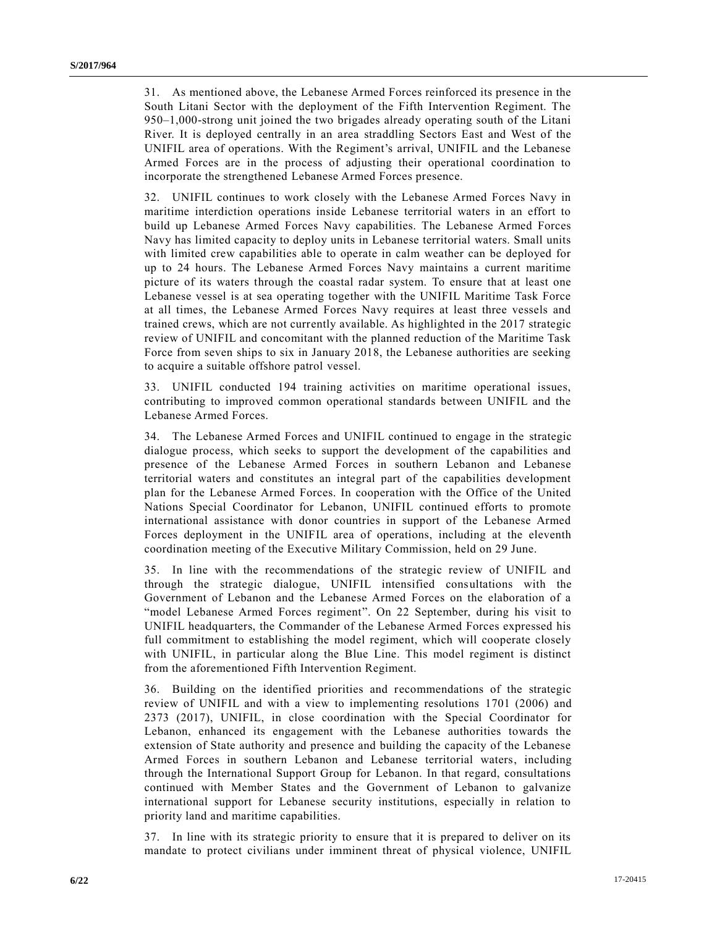31. As mentioned above, the Lebanese Armed Forces reinforced its presence in the South Litani Sector with the deployment of the Fifth Intervention Regiment. The 950–1,000-strong unit joined the two brigades already operating south of the Litani River. It is deployed centrally in an area straddling Sectors East and West of the UNIFIL area of operations. With the Regiment's arrival, UNIFIL and the Lebanese Armed Forces are in the process of adjusting their operational coordination to incorporate the strengthened Lebanese Armed Forces presence.

32. UNIFIL continues to work closely with the Lebanese Armed Forces Navy in maritime interdiction operations inside Lebanese territorial waters in an effort to build up Lebanese Armed Forces Navy capabilities. The Lebanese Armed Forces Navy has limited capacity to deploy units in Lebanese territorial waters. Small units with limited crew capabilities able to operate in calm weather can be deployed for up to 24 hours. The Lebanese Armed Forces Navy maintains a current maritime picture of its waters through the coastal radar system. To ensure that at least one Lebanese vessel is at sea operating together with the UNIFIL Maritime Task Force at all times, the Lebanese Armed Forces Navy requires at least three vessels and trained crews, which are not currently available. As highlighted in the 2017 strategic review of UNIFIL and concomitant with the planned reduction of the Maritime Task Force from seven ships to six in January 2018, the Lebanese authorities are seeking to acquire a suitable offshore patrol vessel.

33. UNIFIL conducted 194 training activities on maritime operational issues, contributing to improved common operational standards between UNIFIL and the Lebanese Armed Forces.

34. The Lebanese Armed Forces and UNIFIL continued to engage in the strategic dialogue process, which seeks to support the development of the capabilities and presence of the Lebanese Armed Forces in southern Lebanon and Lebanese territorial waters and constitutes an integral part of the capabilities development plan for the Lebanese Armed Forces. In cooperation with the Office of the United Nations Special Coordinator for Lebanon, UNIFIL continued efforts to promote international assistance with donor countries in support of the Lebanese Armed Forces deployment in the UNIFIL area of operations, including at the eleventh coordination meeting of the Executive Military Commission, held on 29 June.

35. In line with the recommendations of the strategic review of UNIFIL and through the strategic dialogue, UNIFIL intensified consultations with the Government of Lebanon and the Lebanese Armed Forces on the elaboration of a "model Lebanese Armed Forces regiment". On 22 September, during his visit to UNIFIL headquarters, the Commander of the Lebanese Armed Forces expressed his full commitment to establishing the model regiment, which will cooperate closely with UNIFIL, in particular along the Blue Line. This model regiment is distinct from the aforementioned Fifth Intervention Regiment.

36. Building on the identified priorities and recommendations of the strategic review of UNIFIL and with a view to implementing resolutions [1701 \(2006\)](https://undocs.org/S/RES/1701(2006)) and [2373 \(2017\),](https://undocs.org/S/RES/2373(2017)) UNIFIL, in close coordination with the Special Coordinator for Lebanon, enhanced its engagement with the Lebanese authorities towards the extension of State authority and presence and building the capacity of the Lebanese Armed Forces in southern Lebanon and Lebanese territorial waters, including through the International Support Group for Lebanon. In that regard, consultations continued with Member States and the Government of Lebanon to galvanize international support for Lebanese security institutions, especially in relation to priority land and maritime capabilities.

37. In line with its strategic priority to ensure that it is prepared to deliver on its mandate to protect civilians under imminent threat of physical violence, UNIFIL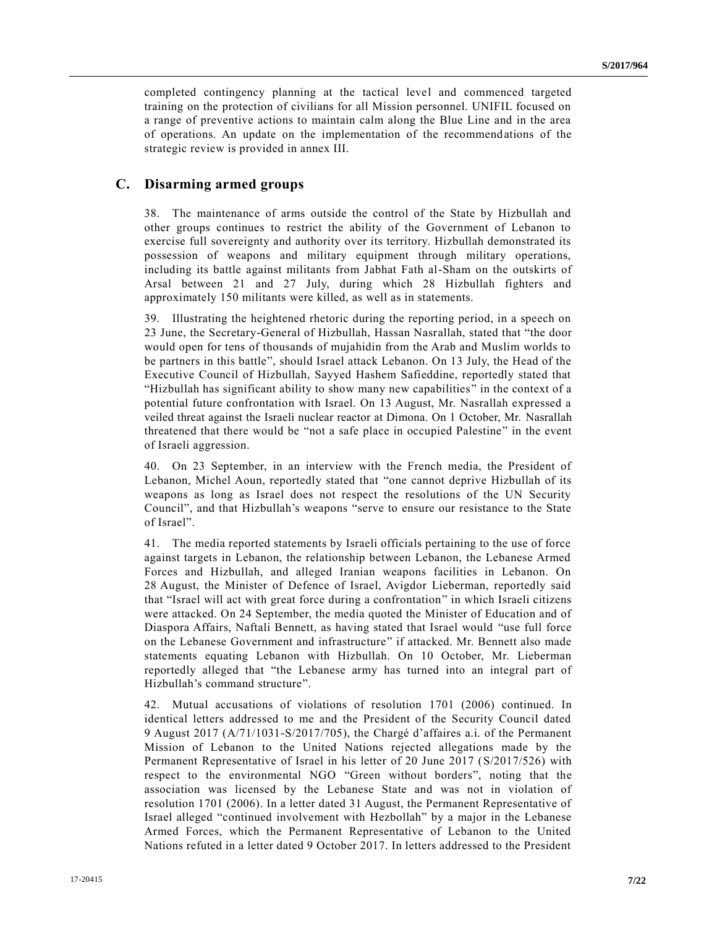completed contingency planning at the tactical level and commenced targeted training on the protection of civilians for all Mission personnel. UNIFIL focused on a range of preventive actions to maintain calm along the Blue Line and in the area of operations. An update on the implementation of the recommendations of the strategic review is provided in annex III.

### **C. Disarming armed groups**

38. The maintenance of arms outside the control of the State by Hizbullah and other groups continues to restrict the ability of the Government of Lebanon to exercise full sovereignty and authority over its territory. Hizbullah demonstrated its possession of weapons and military equipment through military operations, including its battle against militants from Jabhat Fath al-Sham on the outskirts of Arsal between 21 and 27 July, during which 28 Hizbullah fighters and approximately 150 militants were killed, as well as in statements.

39. Illustrating the heightened rhetoric during the reporting period, in a speech on 23 June, the Secretary-General of Hizbullah, Hassan Nasrallah, stated that "the door would open for tens of thousands of mujahidin from the Arab and Muslim worlds to be partners in this battle", should Israel attack Lebanon. On 13 July, the Head of the Executive Council of Hizbullah, Sayyed Hashem Safieddine, reportedly stated that "Hizbullah has significant ability to show many new capabilities" in the context of a potential future confrontation with Israel. On 13 August, Mr. Nasrallah expressed a veiled threat against the Israeli nuclear reactor at Dimona. On 1 October, Mr. Nasrallah threatened that there would be "not a safe place in occupied Palestine" in the event of Israeli aggression.

40. On 23 September, in an interview with the French media, the President of Lebanon, Michel Aoun, reportedly stated that "one cannot deprive Hizbullah of its weapons as long as Israel does not respect the resolutions of the UN Security Council", and that Hizbullah's weapons "serve to ensure our resistance to the State of Israel".

41. The media reported statements by Israeli officials pertaining to the use of force against targets in Lebanon, the relationship between Lebanon, the Lebanese Armed Forces and Hizbullah, and alleged Iranian weapons facilities in Lebanon. On 28 August, the Minister of Defence of Israel, Avigdor Lieberman, reportedly said that "Israel will act with great force during a confrontation" in which Israeli citizens were attacked. On 24 September, the media quoted the Minister of Education and of Diaspora Affairs, Naftali Bennett, as having stated that Israel would "use full force on the Lebanese Government and infrastructure" if attacked. Mr. Bennett also made statements equating Lebanon with Hizbullah. On 10 October, Mr. Lieberman reportedly alleged that "the Lebanese army has turned into an integral part of Hizbullah's command structure".

42. Mutual accusations of violations of resolution [1701 \(2006\)](https://undocs.org/S/RES/1701(2006)) continued. In identical letters addressed to me and the President of the Security Council dated 9 August 2017 [\(A/71/1031-S/2017/705\)](https://undocs.org/A/71/1031), the Chargé d'affaires a.i. of the Permanent Mission of Lebanon to the United Nations rejected allegations made by the Permanent Representative of Israel in his letter of 20 June 2017 [\(S/2017/526\)](https://undocs.org/S/2017/526) with respect to the environmental NGO "Green without borders", noting that the association was licensed by the Lebanese State and was not in violation of resolution [1701 \(2006\).](https://undocs.org/S/RES/1701(2006)) In a letter dated 31 August, the Permanent Representative of Israel alleged "continued involvement with Hezbollah" by a major in the Lebanese Armed Forces, which the Permanent Representative of Lebanon to the United Nations refuted in a letter dated 9 October 2017. In letters addressed to the President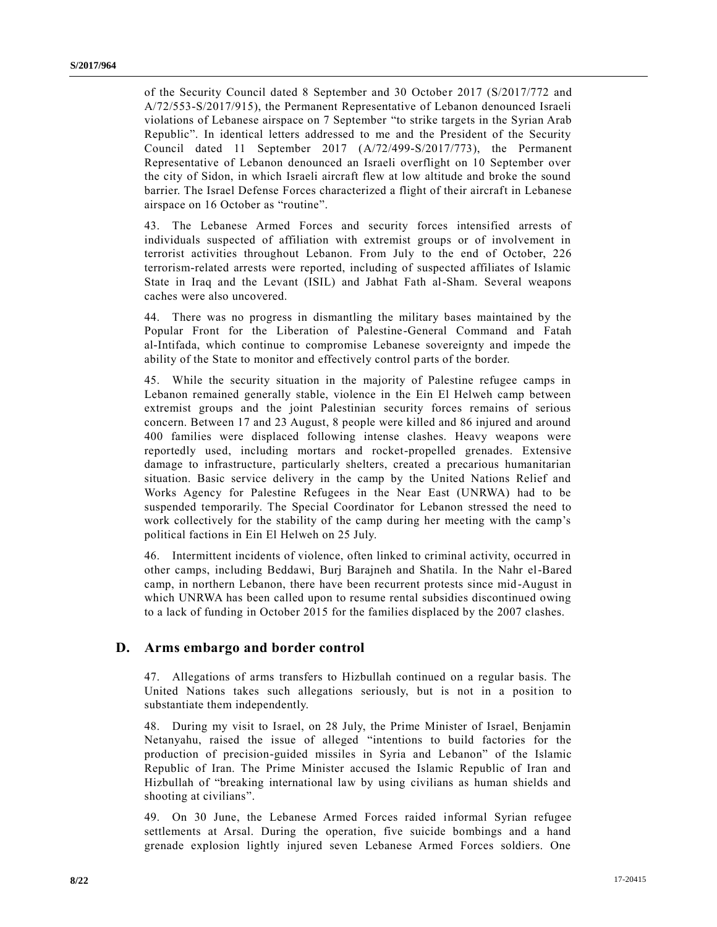of the Security Council dated 8 September and 30 October 2017 [\(S/2017/772](https://undocs.org/S/2017/772) and [A/72/553-S/2017/915\)](https://undocs.org/A/72/553), the Permanent Representative of Lebanon denounced Israeli violations of Lebanese airspace on 7 September "to strike targets in the Syrian Arab Republic". In identical letters addressed to me and the President of the Security Council dated 11 September 2017 [\(A/72/499-S/2017/773\)](https://undocs.org/A/72/499), the Permanent Representative of Lebanon denounced an Israeli overflight on 10 September over the city of Sidon, in which Israeli aircraft flew at low altitude and broke the sound barrier. The Israel Defense Forces characterized a flight of their aircraft in Lebanese airspace on 16 October as "routine".

43. The Lebanese Armed Forces and security forces intensified arrests of individuals suspected of affiliation with extremist groups or of involvement in terrorist activities throughout Lebanon. From July to the end of October, 226 terrorism-related arrests were reported, including of suspected affiliates of Islamic State in Iraq and the Levant (ISIL) and Jabhat Fath al-Sham. Several weapons caches were also uncovered.

44. There was no progress in dismantling the military bases maintained by the Popular Front for the Liberation of Palestine-General Command and Fatah al-Intifada, which continue to compromise Lebanese sovereignty and impede the ability of the State to monitor and effectively control parts of the border.

45. While the security situation in the majority of Palestine refugee camps in Lebanon remained generally stable, violence in the Ein El Helweh camp between extremist groups and the joint Palestinian security forces remains of serious concern. Between 17 and 23 August, 8 people were killed and 86 injured and around 400 families were displaced following intense clashes. Heavy weapons were reportedly used, including mortars and rocket-propelled grenades. Extensive damage to infrastructure, particularly shelters, created a precarious humanitarian situation. Basic service delivery in the camp by the United Nations Relief and Works Agency for Palestine Refugees in the Near East (UNRWA) had to be suspended temporarily. The Special Coordinator for Lebanon stressed the need to work collectively for the stability of the camp during her meeting with the camp's political factions in Ein El Helweh on 25 July.

46. Intermittent incidents of violence, often linked to criminal activity, occurred in other camps, including Beddawi, Burj Barajneh and Shatila. In the Nahr el-Bared camp, in northern Lebanon, there have been recurrent protests since mid -August in which UNRWA has been called upon to resume rental subsidies discontinued owing to a lack of funding in October 2015 for the families displaced by the 2007 clashes.

### **D. Arms embargo and border control**

47. Allegations of arms transfers to Hizbullah continued on a regular basis. The United Nations takes such allegations seriously, but is not in a position to substantiate them independently.

48. During my visit to Israel, on 28 July, the Prime Minister of Israel, Benjamin Netanyahu, raised the issue of alleged "intentions to build factories for the production of precision-guided missiles in Syria and Lebanon" of the Islamic Republic of Iran. The Prime Minister accused the Islamic Republic of Iran and Hizbullah of "breaking international law by using civilians as human shields and shooting at civilians".

49. On 30 June, the Lebanese Armed Forces raided informal Syrian refugee settlements at Arsal. During the operation, five suicide bombings and a hand grenade explosion lightly injured seven Lebanese Armed Forces soldiers. One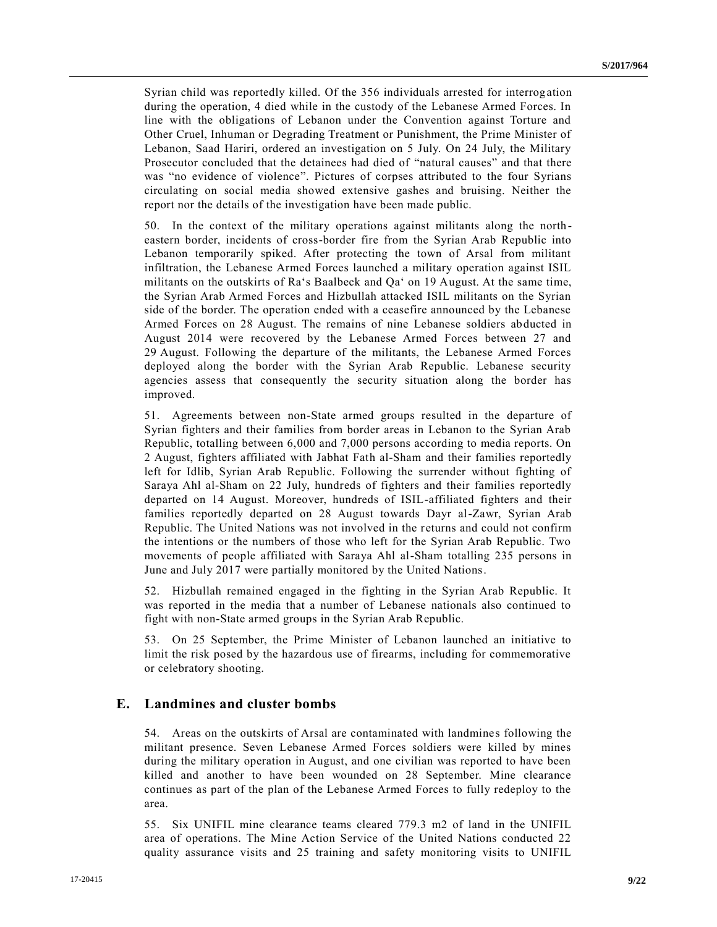Syrian child was reportedly killed. Of the 356 individuals arrested for interrog ation during the operation, 4 died while in the custody of the Lebanese Armed Forces. In line with the obligations of Lebanon under the Convention against Torture and Other Cruel, Inhuman or Degrading Treatment or Punishment, the Prime Minister of Lebanon, Saad Hariri, ordered an investigation on 5 July. On 24 July, the Military Prosecutor concluded that the detainees had died of "natural causes" and that there was "no evidence of violence". Pictures of corpses attributed to the four Syrians circulating on social media showed extensive gashes and bruising. Neither the report nor the details of the investigation have been made public.

50. In the context of the military operations against militants along the north eastern border, incidents of cross-border fire from the Syrian Arab Republic into Lebanon temporarily spiked. After protecting the town of Arsal from militant infiltration, the Lebanese Armed Forces launched a military operation against ISIL militants on the outskirts of Ra's Baalbeck and Qa' on 19 August. At the same time, the Syrian Arab Armed Forces and Hizbullah attacked ISIL militants on the Syrian side of the border. The operation ended with a ceasefire announced by the Lebanese Armed Forces on 28 August. The remains of nine Lebanese soldiers abducted in August 2014 were recovered by the Lebanese Armed Forces between 27 and 29 August. Following the departure of the militants, the Lebanese Armed Forces deployed along the border with the Syrian Arab Republic. Lebanese security agencies assess that consequently the security situation along the border has improved.

51. Agreements between non-State armed groups resulted in the departure of Syrian fighters and their families from border areas in Lebanon to the Syrian Arab Republic, totalling between 6,000 and 7,000 persons according to media reports. On 2 August, fighters affiliated with Jabhat Fath al-Sham and their families reportedly left for Idlib, Syrian Arab Republic. Following the surrender without fighting of Saraya Ahl al-Sham on 22 July, hundreds of fighters and their families reportedly departed on 14 August. Moreover, hundreds of ISIL-affiliated fighters and their families reportedly departed on 28 August towards Dayr al-Zawr, Syrian Arab Republic. The United Nations was not involved in the returns and could not confirm the intentions or the numbers of those who left for the Syrian Arab Republic. Two movements of people affiliated with Saraya Ahl al-Sham totalling 235 persons in June and July 2017 were partially monitored by the United Nations.

52. Hizbullah remained engaged in the fighting in the Syrian Arab Republic. It was reported in the media that a number of Lebanese nationals also continued to fight with non-State armed groups in the Syrian Arab Republic.

53. On 25 September, the Prime Minister of Lebanon launched an initiative to limit the risk posed by the hazardous use of firearms, including for commemorative or celebratory shooting.

### **E. Landmines and cluster bombs**

54. Areas on the outskirts of Arsal are contaminated with landmine s following the militant presence. Seven Lebanese Armed Forces soldiers were killed by mines during the military operation in August, and one civilian was reported to have been killed and another to have been wounded on 28 September. Mine clearance continues as part of the plan of the Lebanese Armed Forces to fully redeploy to the area.

55. Six UNIFIL mine clearance teams cleared 779.3 m2 of land in the UNIFIL area of operations. The Mine Action Service of the United Nations conducted 22 quality assurance visits and 25 training and safety monitoring visits to UNIFIL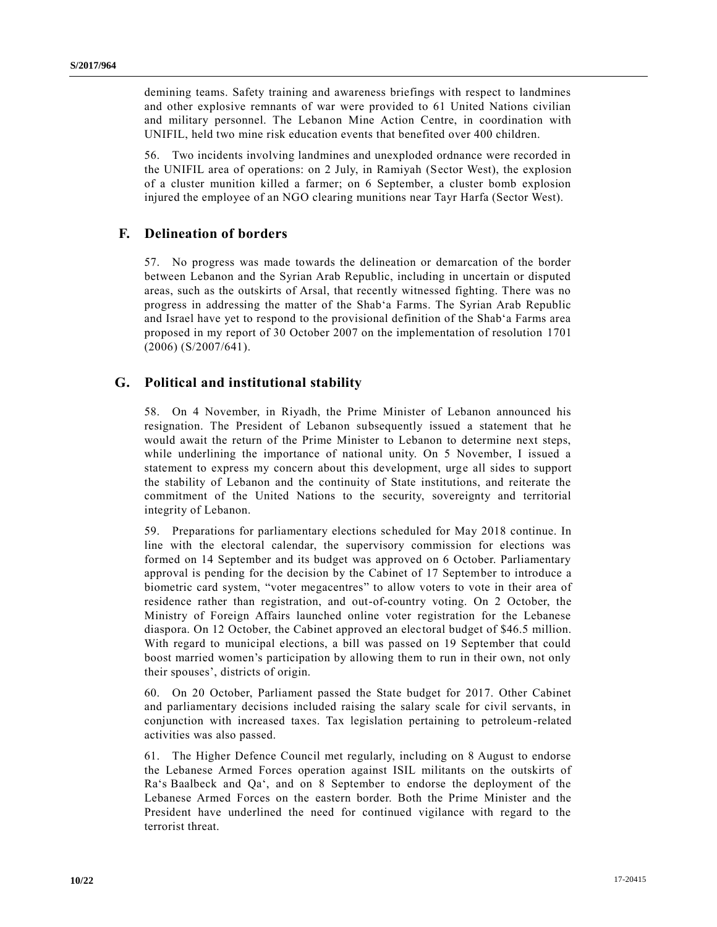demining teams. Safety training and awareness briefings with respect to landmines and other explosive remnants of war were provided to 61 United Nations civilian and military personnel. The Lebanon Mine Action Centre, in coordination with UNIFIL, held two mine risk education events that benefited over 400 children.

56. Two incidents involving landmines and unexploded ordnance were recorded in the UNIFIL area of operations: on 2 July, in Ramiyah (Sector West), the explosion of a cluster munition killed a farmer; on 6 September, a cluster bomb explosion injured the employee of an NGO clearing munitions near Tayr Harfa (Sector West).

### **F. Delineation of borders**

57. No progress was made towards the delineation or demarcation of the border between Lebanon and the Syrian Arab Republic, including in uncertain or disputed areas, such as the outskirts of Arsal, that recently witnessed fighting. There was no progress in addressing the matter of the Shabʻa Farms. The Syrian Arab Republic and Israel have yet to respond to the provisional definition of the Shabʻa Farms area proposed in my report of 30 October 2007 on the implementation of resolution [1701](https://undocs.org/S/RES/1701(2006))  [\(2006\)](https://undocs.org/S/RES/1701(2006)) [\(S/2007/641\)](https://undocs.org/S/2007/641).

### **G. Political and institutional stability**

58. On 4 November, in Riyadh, the Prime Minister of Lebanon announced his resignation. The President of Lebanon subsequently issued a statement that he would await the return of the Prime Minister to Lebanon to determine next steps, while underlining the importance of national unity. On 5 November, I issued a statement to express my concern about this development, urge all sides to support the stability of Lebanon and the continuity of State institutions, and reiterate the commitment of the United Nations to the security, sovereignty and territorial integrity of Lebanon.

59. Preparations for parliamentary elections scheduled for May 2018 continue. In line with the electoral calendar, the supervisory commission for elections was formed on 14 September and its budget was approved on 6 October. Parliamentary approval is pending for the decision by the Cabinet of 17 September to introduce a biometric card system, "voter megacentres" to allow voters to vote in their area of residence rather than registration, and out-of-country voting. On 2 October, the Ministry of Foreign Affairs launched online voter registration for the Lebanese diaspora. On 12 October, the Cabinet approved an electoral budget of \$46.5 million. With regard to municipal elections, a bill was passed on 19 September that could boost married women's participation by allowing them to run in their own, not only their spouses', districts of origin.

60. On 20 October, Parliament passed the State budget for 2017. Other Cabinet and parliamentary decisions included raising the salary scale for civil servants, in conjunction with increased taxes. Tax legislation pertaining to petroleum-related activities was also passed.

61. The Higher Defence Council met regularly, including on 8 August to endorse the Lebanese Armed Forces operation against ISIL militants on the outskirts of Ra's Baalbeck and Qa', and on 8 September to endorse the deployment of the Lebanese Armed Forces on the eastern border. Both the Prime Minister and the President have underlined the need for continued vigilance with regard to the terrorist threat.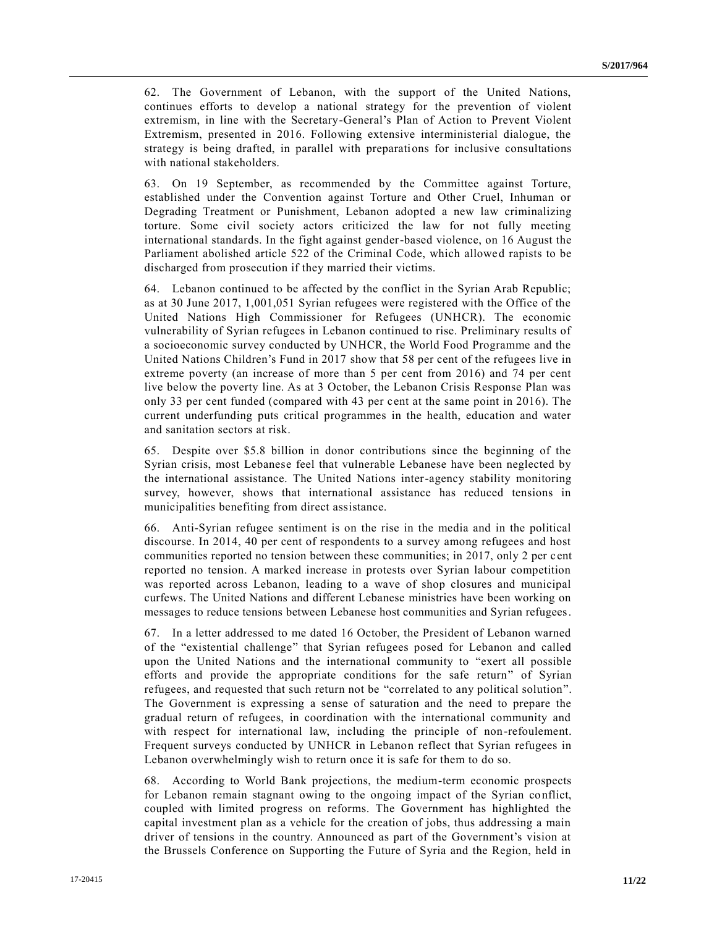62. The Government of Lebanon, with the support of the United Nations, continues efforts to develop a national strategy for the prevention of violent extremism, in line with the Secretary-General's Plan of Action to Prevent Violent Extremism, presented in 2016. Following extensive interministerial dialogue, the strategy is being drafted, in parallel with preparations for inclusive consultations with national stakeholders.

63. On 19 September, as recommended by the Committee against Torture, established under the Convention against Torture and Other Cruel, Inhuman or Degrading Treatment or Punishment, Lebanon adopted a new law criminalizing torture. Some civil society actors criticized the law for not fully meeting international standards. In the fight against gender-based violence, on 16 August the Parliament abolished article 522 of the Criminal Code, which allowed rapists to be discharged from prosecution if they married their victims.

64. Lebanon continued to be affected by the conflict in the Syrian Arab Republic; as at 30 June 2017, 1,001,051 Syrian refugees were registered with the Office of the United Nations High Commissioner for Refugees (UNHCR). The economic vulnerability of Syrian refugees in Lebanon continued to rise. Preliminary results of a socioeconomic survey conducted by UNHCR, the World Food Programme and the United Nations Children's Fund in 2017 show that 58 per cent of the refugees live in extreme poverty (an increase of more than 5 per cent from 2016) and 74 per cent live below the poverty line. As at 3 October, the Lebanon Crisis Response Plan was only 33 per cent funded (compared with 43 per cent at the same point in 2016). The current underfunding puts critical programmes in the health, education and water and sanitation sectors at risk.

65. Despite over \$5.8 billion in donor contributions since the beginning of the Syrian crisis, most Lebanese feel that vulnerable Lebanese have been neglected by the international assistance. The United Nations inter-agency stability monitoring survey, however, shows that international assistance has reduced tensions in municipalities benefiting from direct assistance.

66. Anti-Syrian refugee sentiment is on the rise in the media and in the political discourse. In 2014, 40 per cent of respondents to a survey among refugees and host communities reported no tension between these communities; in 2017, only 2 per cent reported no tension. A marked increase in protests over Syrian labour competition was reported across Lebanon, leading to a wave of shop closures and municipal curfews. The United Nations and different Lebanese ministries have been working on messages to reduce tensions between Lebanese host communities and Syrian refugees.

67. In a letter addressed to me dated 16 October, the President of Lebanon warned of the "existential challenge" that Syrian refugees posed for Lebanon and called upon the United Nations and the international community to "exert all possible efforts and provide the appropriate conditions for the safe return" of Syrian refugees, and requested that such return not be "correlated to any political solution". The Government is expressing a sense of saturation and the need to prepare the gradual return of refugees, in coordination with the international community and with respect for international law, including the principle of non-refoulement. Frequent surveys conducted by UNHCR in Lebanon reflect that Syrian refugees in Lebanon overwhelmingly wish to return once it is safe for them to do so.

68. According to World Bank projections, the medium-term economic prospects for Lebanon remain stagnant owing to the ongoing impact of the Syrian conflict, coupled with limited progress on reforms. The Government has highlighted the capital investment plan as a vehicle for the creation of jobs, thus addressing a main driver of tensions in the country. Announced as part of the Government's vision at the Brussels Conference on Supporting the Future of Syria and the Region, held in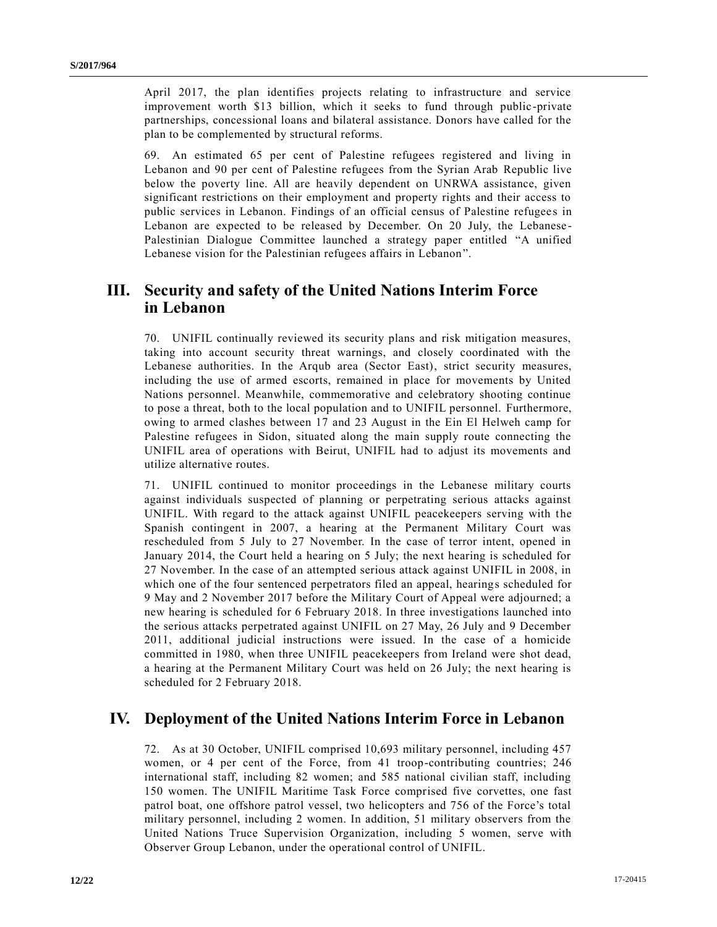April 2017, the plan identifies projects relating to infrastructure and service improvement worth \$13 billion, which it seeks to fund through public -private partnerships, concessional loans and bilateral assistance. Donors have called for the plan to be complemented by structural reforms.

69. An estimated 65 per cent of Palestine refugees registered and living in Lebanon and 90 per cent of Palestine refugees from the Syrian Arab Republic live below the poverty line. All are heavily dependent on UNRWA assistance, given significant restrictions on their employment and property rights and their access to public services in Lebanon. Findings of an official census of Palestine refugees in Lebanon are expected to be released by December. On 20 July, the Lebanese - Palestinian Dialogue Committee launched a strategy paper entitled "A unified Lebanese vision for the Palestinian refugees affairs in Lebanon".

# **III. Security and safety of the United Nations Interim Force in Lebanon**

70. UNIFIL continually reviewed its security plans and risk mitigation measures, taking into account security threat warnings, and closely coordinated with the Lebanese authorities. In the Arqub area (Sector East), strict security measures, including the use of armed escorts, remained in place for movements by United Nations personnel. Meanwhile, commemorative and celebratory shooting continue to pose a threat, both to the local population and to UNIFIL personnel. Furthermore, owing to armed clashes between 17 and 23 August in the Ein El Helweh camp for Palestine refugees in Sidon, situated along the main supply route connecting the UNIFIL area of operations with Beirut, UNIFIL had to adjust its movements and utilize alternative routes.

71. UNIFIL continued to monitor proceedings in the Lebanese military courts against individuals suspected of planning or perpetrating serious attacks against UNIFIL. With regard to the attack against UNIFIL peacekeepers serving with the Spanish contingent in 2007, a hearing at the Permanent Military Court was rescheduled from 5 July to 27 November. In the case of terror intent, opened in January 2014, the Court held a hearing on 5 July; the next hearing is scheduled for 27 November. In the case of an attempted serious attack against UNIFIL in 2008, in which one of the four sentenced perpetrators filed an appeal, hearings scheduled for 9 May and 2 November 2017 before the Military Court of Appeal were adjourned; a new hearing is scheduled for 6 February 2018. In three investigations launched into the serious attacks perpetrated against UNIFIL on 27 May, 26 July and 9 December 2011, additional judicial instructions were issued. In the case of a homicide committed in 1980, when three UNIFIL peacekeepers from Ireland were shot dead, a hearing at the Permanent Military Court was held on 26 July; the next hearing is scheduled for 2 February 2018.

## **IV. Deployment of the United Nations Interim Force in Lebanon**

72. As at 30 October, UNIFIL comprised 10,693 military personnel, including 457 women, or 4 per cent of the Force, from 41 troop-contributing countries; 246 international staff, including 82 women; and 585 national civilian staff, including 150 women. The UNIFIL Maritime Task Force comprised five corvettes, one fast patrol boat, one offshore patrol vessel, two helicopters and 756 of the Force's total military personnel, including 2 women. In addition, 51 military observers from the United Nations Truce Supervision Organization, including 5 women, serve with Observer Group Lebanon, under the operational control of UNIFIL.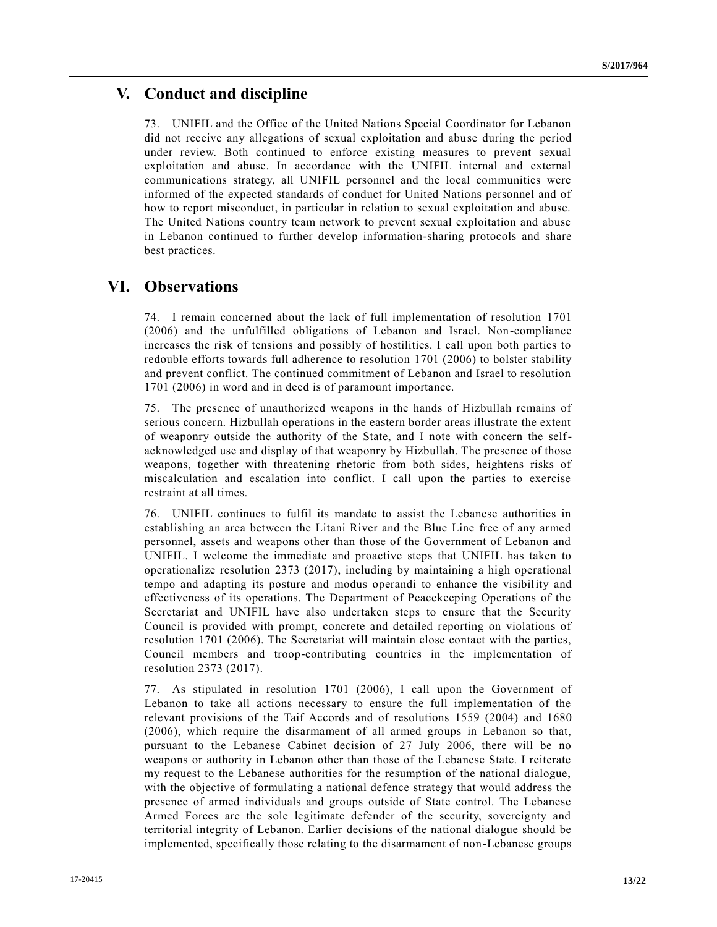# **V. Conduct and discipline**

73. UNIFIL and the Office of the United Nations Special Coordinator for Lebanon did not receive any allegations of sexual exploitation and abuse during the period under review. Both continued to enforce existing measures to prevent sexual exploitation and abuse. In accordance with the UNIFIL internal and external communications strategy, all UNIFIL personnel and the local communities were informed of the expected standards of conduct for United Nations personnel and of how to report misconduct, in particular in relation to sexual exploitation and abuse. The United Nations country team network to prevent sexual exploitation and abuse in Lebanon continued to further develop information-sharing protocols and share best practices.

### **VI. Observations**

74. I remain concerned about the lack of full implementation of resolution [1701](https://undocs.org/S/RES/1701(2006))  [\(2006\)](https://undocs.org/S/RES/1701(2006)) and the unfulfilled obligations of Lebanon and Israel. Non-compliance increases the risk of tensions and possibly of hostilities. I call upon both parties to redouble efforts towards full adherence to resolution [1701 \(2006\)](https://undocs.org/S/RES/1701(2006)) to bolster stability and prevent conflict. The continued commitment of Lebanon and Israel to resolution [1701 \(2006\)](https://undocs.org/S/RES/1701(2006)) in word and in deed is of paramount importance.

75. The presence of unauthorized weapons in the hands of Hizbullah remains of serious concern. Hizbullah operations in the eastern border areas illustrate the extent of weaponry outside the authority of the State, and I note with concern the selfacknowledged use and display of that weaponry by Hizbullah. The presence of those weapons, together with threatening rhetoric from both sides, heightens risks of miscalculation and escalation into conflict. I call upon the parties to exercise restraint at all times.

76. UNIFIL continues to fulfil its mandate to assist the Lebanese authorities in establishing an area between the Litani River and the Blue Line free of any armed personnel, assets and weapons other than those of the Government of Lebanon and UNIFIL. I welcome the immediate and proactive steps that UNIFIL has taken to operationalize resolution [2373 \(2017\),](https://undocs.org/S/RES/2373(2017)) including by maintaining a high operational tempo and adapting its posture and modus operandi to enhance the visibility and effectiveness of its operations. The Department of Peacekeeping Operations of the Secretariat and UNIFIL have also undertaken steps to ensure that the Security Council is provided with prompt, concrete and detailed reporting on violations of resolution [1701 \(2006\).](https://undocs.org/S/RES/1701(2006)) The Secretariat will maintain close contact with the parties, Council members and troop-contributing countries in the implementation of resolution [2373 \(2017\).](https://undocs.org/S/RES/2373(2017))

77. As stipulated in resolution [1701 \(2006\),](https://undocs.org/S/RES/1701(2006)) I call upon the Government of Lebanon to take all actions necessary to ensure the full implementation of the relevant provisions of the Taif Accords and of resolutions [1559 \(2004\)](https://undocs.org/S/RES/1559(2004)) and [1680](https://undocs.org/S/RES/1680(2006))  [\(2006\),](https://undocs.org/S/RES/1680(2006)) which require the disarmament of all armed groups in Lebanon so that, pursuant to the Lebanese Cabinet decision of 27 July 2006, there will be no weapons or authority in Lebanon other than those of the Lebanese State. I reiterate my request to the Lebanese authorities for the resumption of the national dialogue, with the objective of formulating a national defence strategy that would address the presence of armed individuals and groups outside of State control. The Lebanese Armed Forces are the sole legitimate defender of the security, sovereignty and territorial integrity of Lebanon. Earlier decisions of the national dialogue should be implemented, specifically those relating to the disarmament of non-Lebanese groups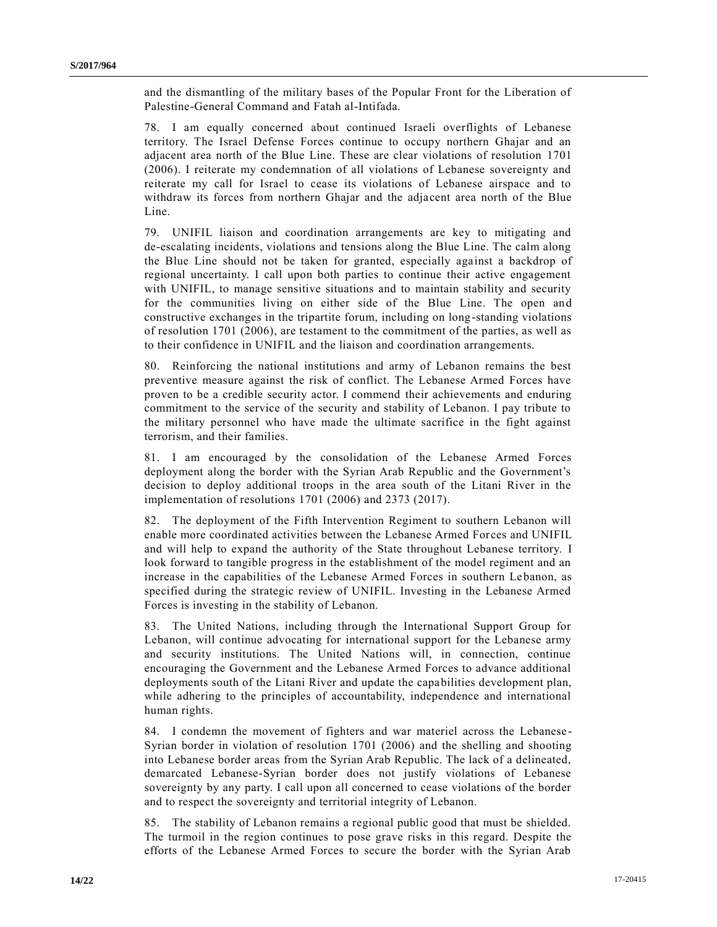and the dismantling of the military bases of the Popular Front for the Liberation of Palestine-General Command and Fatah al-Intifada.

78. I am equally concerned about continued Israeli overflights of Lebanese territory. The Israel Defense Forces continue to occupy northern Ghajar and an adjacent area north of the Blue Line. These are clear violations of resolution [1701](https://undocs.org/S/RES/1701(2006))  [\(2006\).](https://undocs.org/S/RES/1701(2006)) I reiterate my condemnation of all violations of Lebanese sovereignty and reiterate my call for Israel to cease its violations of Lebanese airspace and to withdraw its forces from northern Ghajar and the adjacent area north of the Blue Line.

79. UNIFIL liaison and coordination arrangements are key to mitigating and de-escalating incidents, violations and tensions along the Blue Line. The calm along the Blue Line should not be taken for granted, especially against a backdrop of regional uncertainty. I call upon both parties to continue their active engagement with UNIFIL, to manage sensitive situations and to maintain stability and security for the communities living on either side of the Blue Line. The open and constructive exchanges in the tripartite forum, including on long-standing violations of resolution [1701 \(2006\),](https://undocs.org/S/RES/1701(2006)) are testament to the commitment of the parties, as well as to their confidence in UNIFIL and the liaison and coordination arrangements.

80. Reinforcing the national institutions and army of Lebanon remains the best preventive measure against the risk of conflict. The Lebanese Armed Forces have proven to be a credible security actor. I commend their achievements and enduring commitment to the service of the security and stability of Lebanon. I pay tribute to the military personnel who have made the ultimate sacrifice in the fight against terrorism, and their families.

81. I am encouraged by the consolidation of the Lebanese Armed Forces deployment along the border with the Syrian Arab Republic and the Government's decision to deploy additional troops in the area south of the Litani River in the implementation of resolutions [1701 \(2006\)](https://undocs.org/S/RES/1701(2006)) and [2373 \(2017\).](https://undocs.org/S/RES/2373(2017))

82. The deployment of the Fifth Intervention Regiment to southern Lebanon will enable more coordinated activities between the Lebanese Armed For ces and UNIFIL and will help to expand the authority of the State throughout Lebanese territory. I look forward to tangible progress in the establishment of the model regiment and an increase in the capabilities of the Lebanese Armed Forces in southern Lebanon, as specified during the strategic review of UNIFIL. Investing in the Lebanese Armed Forces is investing in the stability of Lebanon.

83. The United Nations, including through the International Support Group for Lebanon, will continue advocating for international support for the Lebanese army and security institutions. The United Nations will, in connection, continue encouraging the Government and the Lebanese Armed Forces to advance additional deployments south of the Litani River and update the capabilities development plan, while adhering to the principles of accountability, independence and international human rights.

84. I condemn the movement of fighters and war materiel across the Lebanese - Syrian border in violation of resolution [1701 \(2006\)](https://undocs.org/S/RES/1701(2006)) and the shelling and shooting into Lebanese border areas from the Syrian Arab Republic. The lack of a delineated, demarcated Lebanese-Syrian border does not justify violations of Lebanese sovereignty by any party. I call upon all concerned to cease violations of the border and to respect the sovereignty and territorial integrity of Lebanon.

85. The stability of Lebanon remains a regional public good that must be shielded. The turmoil in the region continues to pose grave risks in this regard. Despite the efforts of the Lebanese Armed Forces to secure the border with the Syrian Arab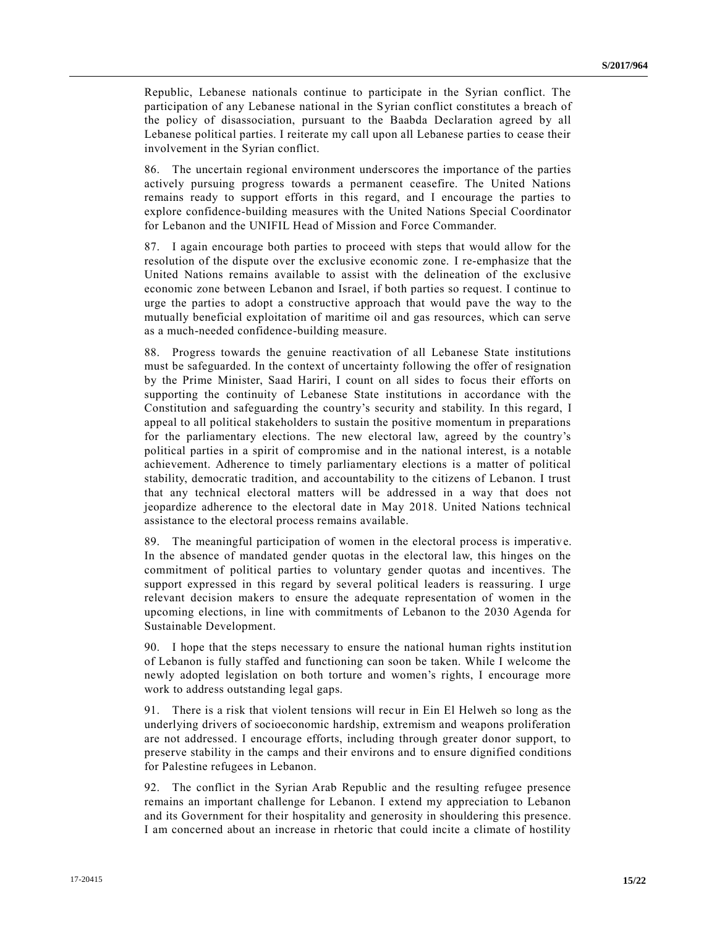Republic, Lebanese nationals continue to participate in the Syrian conflict. The participation of any Lebanese national in the Syrian conflict constitutes a breach of the policy of disassociation, pursuant to the Baabda Declaration agreed by all Lebanese political parties. I reiterate my call upon all Lebanese parties to cease their involvement in the Syrian conflict.

86. The uncertain regional environment underscores the importance of the parties actively pursuing progress towards a permanent ceasefire. The United Nations remains ready to support efforts in this regard, and I encourage the parties to explore confidence-building measures with the United Nations Special Coordinator for Lebanon and the UNIFIL Head of Mission and Force Commander.

87. I again encourage both parties to proceed with steps that would allow for the resolution of the dispute over the exclusive economic zone. I re-emphasize that the United Nations remains available to assist with the delineation of the exclusive economic zone between Lebanon and Israel, if both parties so request. I continue to urge the parties to adopt a constructive approach that would pave the way to the mutually beneficial exploitation of maritime oil and gas resources, which can serve as a much-needed confidence-building measure.

88. Progress towards the genuine reactivation of all Lebanese State institutions must be safeguarded. In the context of uncertainty following the offer of resignation by the Prime Minister, Saad Hariri, I count on all sides to focus their efforts on supporting the continuity of Lebanese State institutions in accordance with the Constitution and safeguarding the country's security and stability. In this regard, I appeal to all political stakeholders to sustain the positive momentum in preparations for the parliamentary elections. The new electoral law, agreed by the country's political parties in a spirit of compromise and in the national interest, is a notable achievement. Adherence to timely parliamentary elections is a matter of political stability, democratic tradition, and accountability to the citizens of Lebanon. I trust that any technical electoral matters will be addressed in a way that does not jeopardize adherence to the electoral date in May 2018. United Nations technical assistance to the electoral process remains available.

89. The meaningful participation of women in the electoral process is imperative. In the absence of mandated gender quotas in the electoral law, this hinges on the commitment of political parties to voluntary gender quotas and incentives. The support expressed in this regard by several political leaders is reassuring. I urge relevant decision makers to ensure the adequate representation of women in the upcoming elections, in line with commitments of Lebanon to the 2030 Agenda for Sustainable Development.

90. I hope that the steps necessary to ensure the national human rights institution of Lebanon is fully staffed and functioning can soon be taken. While I welcome the newly adopted legislation on both torture and women's rights, I encourage more work to address outstanding legal gaps.

91. There is a risk that violent tensions will recur in Ein El Helweh so long as the underlying drivers of socioeconomic hardship, extremism and weapons proliferation are not addressed. I encourage efforts, including through greater donor support, to preserve stability in the camps and their environs and to ensure dignified conditions for Palestine refugees in Lebanon.

92. The conflict in the Syrian Arab Republic and the resulting refugee presence remains an important challenge for Lebanon. I extend my appreciation to Lebanon and its Government for their hospitality and generosity in shouldering this presence. I am concerned about an increase in rhetoric that could incite a climate of hostility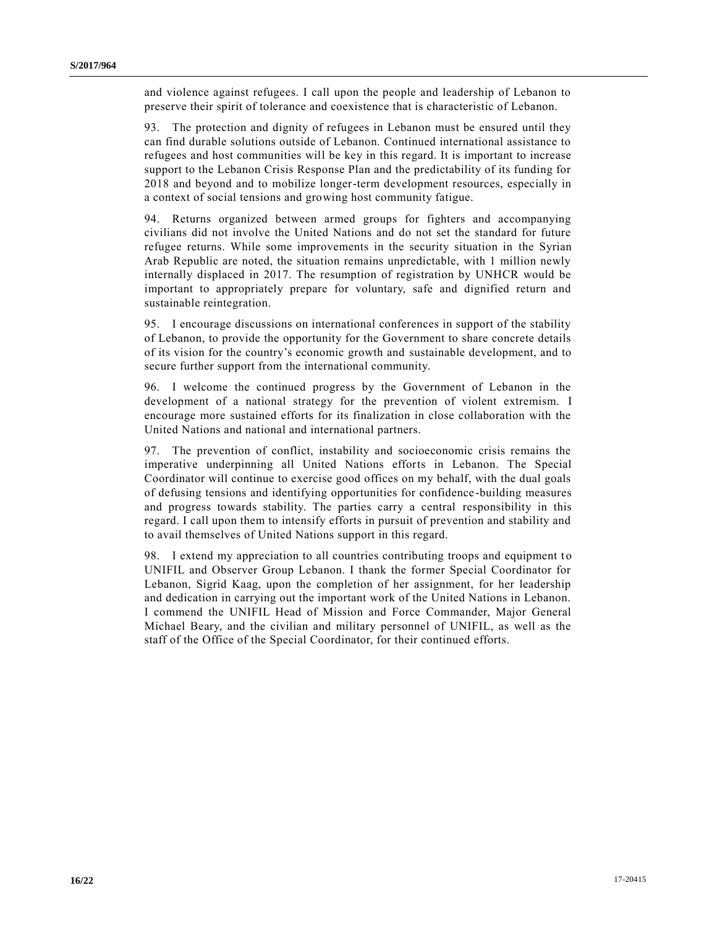and violence against refugees. I call upon the people and leadership of Lebanon to preserve their spirit of tolerance and coexistence that is characteristic of Lebanon.

93. The protection and dignity of refugees in Lebanon must be ensured until they can find durable solutions outside of Lebanon. Continued international assistance to refugees and host communities will be key in this regard. It is important to increase support to the Lebanon Crisis Response Plan and the predictability of its funding for 2018 and beyond and to mobilize longer-term development resources, especially in a context of social tensions and growing host community fatigue.

94. Returns organized between armed groups for fighters and accompanying civilians did not involve the United Nations and do not set the standard for future refugee returns. While some improvements in the security situation in the Syrian Arab Republic are noted, the situation remains unpredictable, with 1 million newly internally displaced in 2017. The resumption of registration by UNHCR would be important to appropriately prepare for voluntary, safe and dignified return and sustainable reintegration.

95. I encourage discussions on international conferences in support of the stability of Lebanon, to provide the opportunity for the Government to share concrete details of its vision for the country's economic growth and sustainable development, and to secure further support from the international community.

96. I welcome the continued progress by the Government of Lebanon in the development of a national strategy for the prevention of violent extremism. I encourage more sustained efforts for its finalization in close collaboration with the United Nations and national and international partners.

97. The prevention of conflict, instability and socioeconomic crisis remains the imperative underpinning all United Nations efforts in Lebanon. The Special Coordinator will continue to exercise good offices on my behalf, with the dual goals of defusing tensions and identifying opportunities for confidence -building measures and progress towards stability. The parties carry a central responsibility in this regard. I call upon them to intensify efforts in pursuit of prevention and stability and to avail themselves of United Nations support in this regard.

98. I extend my appreciation to all countries contributing troops and equipment to UNIFIL and Observer Group Lebanon. I thank the former Special Coordinator for Lebanon, Sigrid Kaag, upon the completion of her assignment, for her leadership and dedication in carrying out the important work of the United Nations in Lebanon. I commend the UNIFIL Head of Mission and Force Commander, Major General Michael Beary, and the civilian and military personnel of UNIFIL, as well as the staff of the Office of the Special Coordinator, for their continued efforts.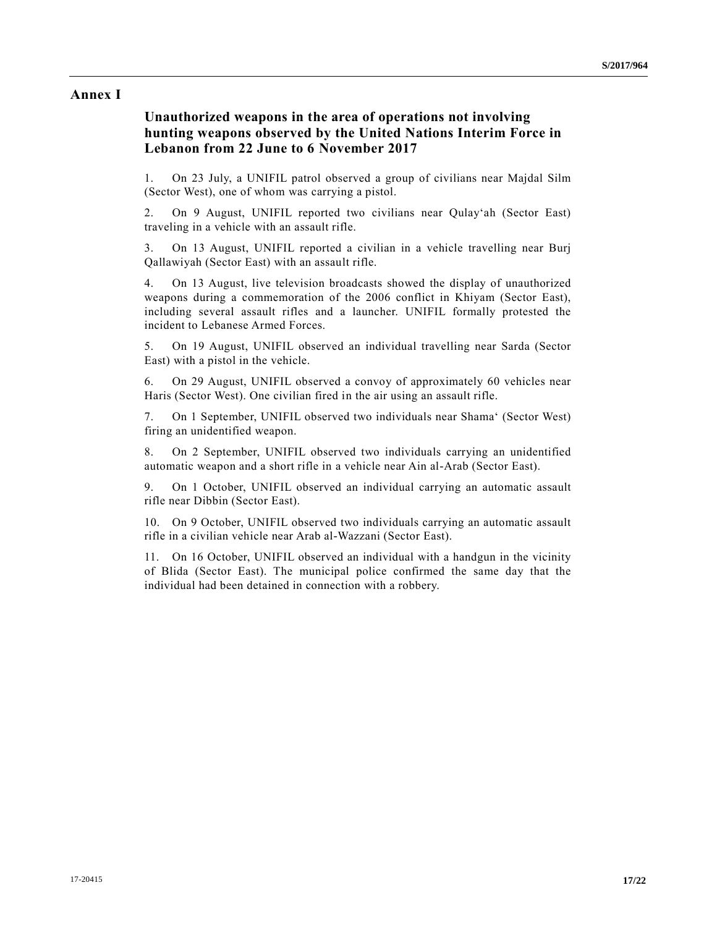### **Annex I**

### **Unauthorized weapons in the area of operations not involving hunting weapons observed by the United Nations Interim Force in Lebanon from 22 June to 6 November 2017**

1. On 23 July, a UNIFIL patrol observed a group of civilians near Majdal Silm (Sector West), one of whom was carrying a pistol.

2. On 9 August, UNIFIL reported two civilians near Qulay'ah (Sector East) traveling in a vehicle with an assault rifle.

3. On 13 August, UNIFIL reported a civilian in a vehicle travelling near Burj Qallawiyah (Sector East) with an assault rifle.

4. On 13 August, live television broadcasts showed the display of unauthorized weapons during a commemoration of the 2006 conflict in Khiyam (Sector East), including several assault rifles and a launcher. UNIFIL formally protested the incident to Lebanese Armed Forces.

5. On 19 August, UNIFIL observed an individual travelling near Sarda (Sector East) with a pistol in the vehicle.

6. On 29 August, UNIFIL observed a convoy of approximately 60 vehicles near Haris (Sector West). One civilian fired in the air using an assault rifle.

7. On 1 September, UNIFIL observed two individuals near Shama' (Sector West) firing an unidentified weapon.

8. On 2 September, UNIFIL observed two individuals carrying an unidentified automatic weapon and a short rifle in a vehicle near Ain al-Arab (Sector East).

9. On 1 October, UNIFIL observed an individual carrying an automatic assault rifle near Dibbin (Sector East).

10. On 9 October, UNIFIL observed two individuals carrying an automatic assault rifle in a civilian vehicle near Arab al-Wazzani (Sector East).

11. On 16 October, UNIFIL observed an individual with a handgun in the vicinity of Blida (Sector East). The municipal police confirmed the same day that the individual had been detained in connection with a robbery.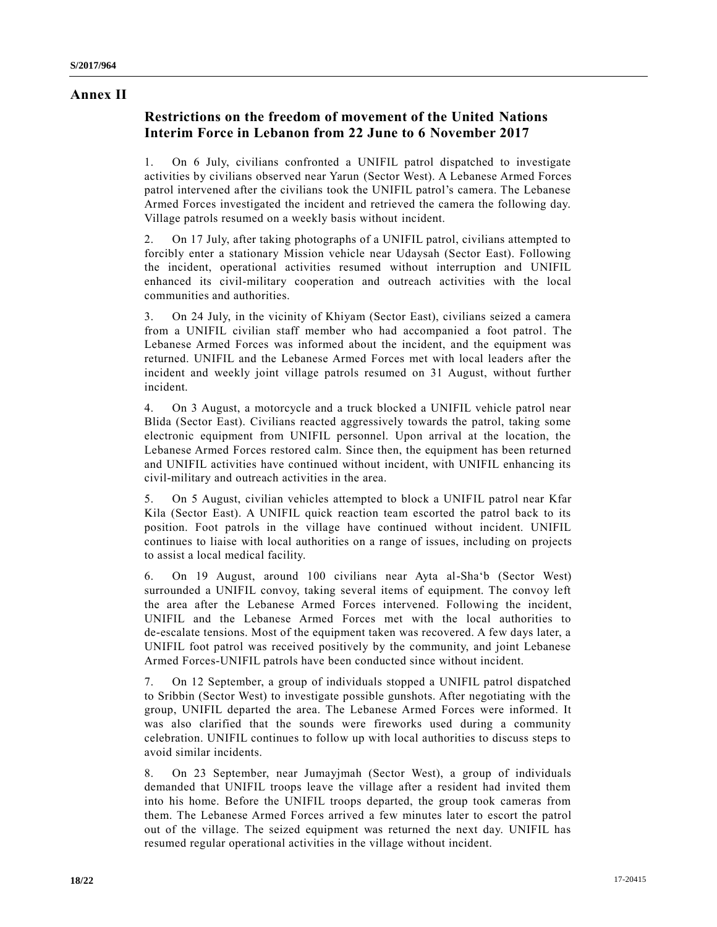#### **Annex II**

### **Restrictions on the freedom of movement of the United Nations Interim Force in Lebanon from 22 June to 6 November 2017**

1. On 6 July, civilians confronted a UNIFIL patrol dispatched to investigate activities by civilians observed near Yarun (Sector West). A Lebanese Armed Forces patrol intervened after the civilians took the UNIFIL patrol's camera. The Lebanese Armed Forces investigated the incident and retrieved the camera the following day. Village patrols resumed on a weekly basis without incident.

2. On 17 July, after taking photographs of a UNIFIL patrol, civilians attempted to forcibly enter a stationary Mission vehicle near Udaysah (Sector East). Following the incident, operational activities resumed without interruption and UNIFIL enhanced its civil-military cooperation and outreach activities with the local communities and authorities.

3. On 24 July, in the vicinity of Khiyam (Sector East), civilians seized a camera from a UNIFIL civilian staff member who had accompanied a foot patrol. The Lebanese Armed Forces was informed about the incident, and the equipment was returned. UNIFIL and the Lebanese Armed Forces met with local leaders after the incident and weekly joint village patrols resumed on 31 August, without further incident.

4. On 3 August, a motorcycle and a truck blocked a UNIFIL vehicle patrol near Blida (Sector East). Civilians reacted aggressively towards the patrol, taking some electronic equipment from UNIFIL personnel. Upon arrival at the location, the Lebanese Armed Forces restored calm. Since then, the equipment has been returned and UNIFIL activities have continued without incident, with UNIFIL enhancing its civil-military and outreach activities in the area.

5. On 5 August, civilian vehicles attempted to block a UNIFIL patrol near Kfar Kila (Sector East). A UNIFIL quick reaction team escorted the patrol back to its position. Foot patrols in the village have continued without incident. UNIFIL continues to liaise with local authorities on a range of issues, including on projects to assist a local medical facility.

6. On 19 August, around 100 civilians near Ayta al-Sha'b (Sector West) surrounded a UNIFIL convoy, taking several items of equipment. The convoy left the area after the Lebanese Armed Forces intervened. Following the incident, UNIFIL and the Lebanese Armed Forces met with the local authorities to de-escalate tensions. Most of the equipment taken was recovered. A few days later, a UNIFIL foot patrol was received positively by the community, and joint Lebanese Armed Forces-UNIFIL patrols have been conducted since without incident.

7. On 12 September, a group of individuals stopped a UNIFIL patrol dispatched to Sribbin (Sector West) to investigate possible gunshots. After negotiating with the group, UNIFIL departed the area. The Lebanese Armed Forces were informed. It was also clarified that the sounds were fireworks used during a community celebration. UNIFIL continues to follow up with local authorities to discuss steps to avoid similar incidents.

8. On 23 September, near Jumayjmah (Sector West), a group of individuals demanded that UNIFIL troops leave the village after a resident had invited them into his home. Before the UNIFIL troops departed, the group took cameras from them. The Lebanese Armed Forces arrived a few minutes later to escort the patrol out of the village. The seized equipment was returned the next day. UNIFIL has resumed regular operational activities in the village without incident.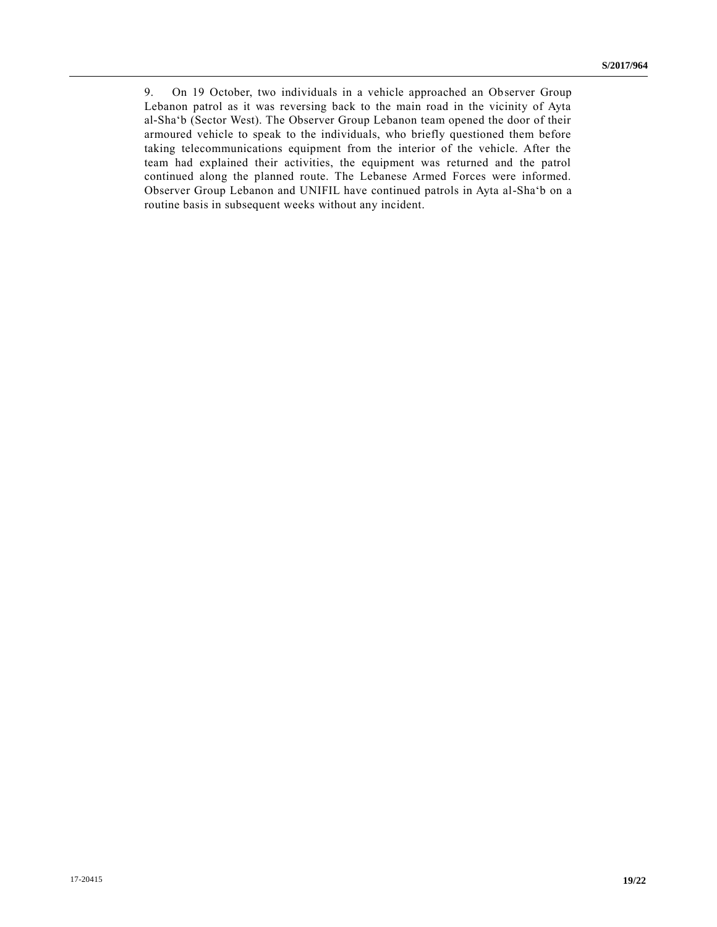9. On 19 October, two individuals in a vehicle approached an Observer Group Lebanon patrol as it was reversing back to the main road in the vicinity of Ayta al-Sha'b (Sector West). The Observer Group Lebanon team opened the door of their armoured vehicle to speak to the individuals, who briefly questioned them before taking telecommunications equipment from the interior of the vehicle. After the team had explained their activities, the equipment was returned and the patrol continued along the planned route. The Lebanese Armed Forces were informed. Observer Group Lebanon and UNIFIL have continued patrols in Ayta al-Sha'b on a routine basis in subsequent weeks without any incident.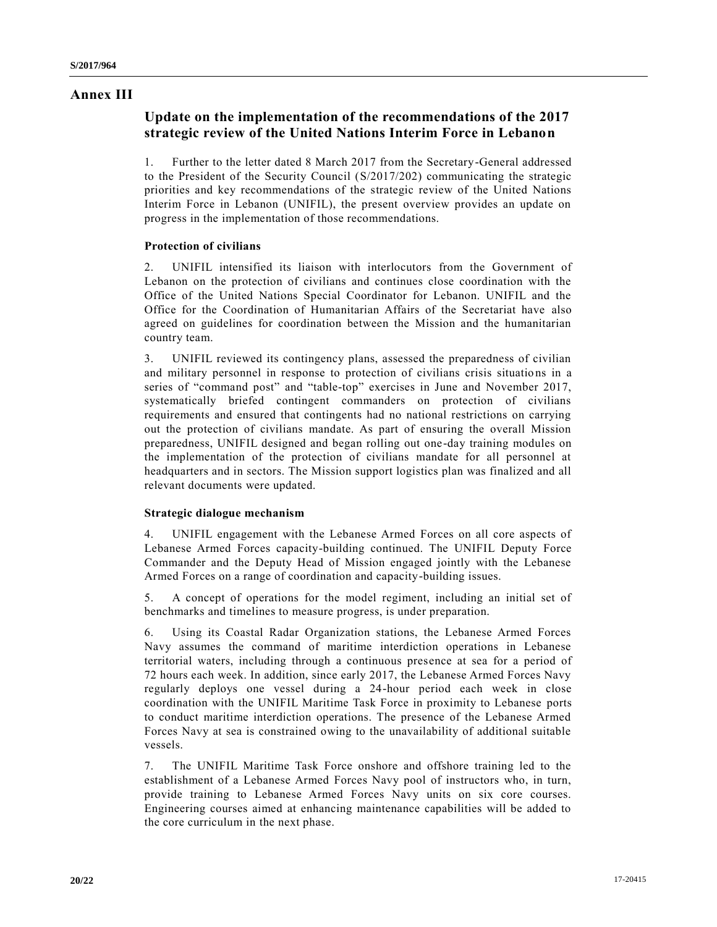### **Annex III**

### **Update on the implementation of the recommendations of the 2017 strategic review of the United Nations Interim Force in Lebanon**

1. Further to the letter dated 8 March 2017 from the Secretary-General addressed to the President of the Security Council [\(S/2017/202\)](https://undocs.org/S/2017/202) communicating the strategic priorities and key recommendations of the strategic review of the United Nations Interim Force in Lebanon (UNIFIL), the present overview provides an update on progress in the implementation of those recommendations.

#### **Protection of civilians**

2. UNIFIL intensified its liaison with interlocutors from the Government of Lebanon on the protection of civilians and continues close coordination with the Office of the United Nations Special Coordinator for Lebanon. UNIFIL and the Office for the Coordination of Humanitarian Affairs of the Secretariat have also agreed on guidelines for coordination between the Mission and the humanitarian country team.

3. UNIFIL reviewed its contingency plans, assessed the preparedness of civilian and military personnel in response to protection of civilians crisis situations in a series of "command post" and "table-top" exercises in June and November 2017, systematically briefed contingent commanders on protection of civilians requirements and ensured that contingents had no national restrictions on carrying out the protection of civilians mandate. As part of ensuring the overall Mission preparedness, UNIFIL designed and began rolling out one-day training modules on the implementation of the protection of civilians mandate for all personnel at headquarters and in sectors. The Mission support logistics plan was finalized and all relevant documents were updated.

#### **Strategic dialogue mechanism**

4. UNIFIL engagement with the Lebanese Armed Forces on all core aspects of Lebanese Armed Forces capacity-building continued. The UNIFIL Deputy Force Commander and the Deputy Head of Mission engaged jointly with the Lebanese Armed Forces on a range of coordination and capacity-building issues.

5. A concept of operations for the model regiment, including an initial set of benchmarks and timelines to measure progress, is under preparation.

6. Using its Coastal Radar Organization stations, the Lebanese Armed Forces Navy assumes the command of maritime interdiction operations in Lebanese territorial waters, including through a continuous presence at sea for a period of 72 hours each week. In addition, since early 2017, the Lebanese Armed Forces Navy regularly deploys one vessel during a 24-hour period each week in close coordination with the UNIFIL Maritime Task Force in proximity to Lebanese ports to conduct maritime interdiction operations. The presence of the Lebanese Armed Forces Navy at sea is constrained owing to the unavailability of additional suitable vessels.

7. The UNIFIL Maritime Task Force onshore and offshore training led to the establishment of a Lebanese Armed Forces Navy pool of instructors who, in turn, provide training to Lebanese Armed Forces Navy units on six core courses. Engineering courses aimed at enhancing maintenance capabilities will be added to the core curriculum in the next phase.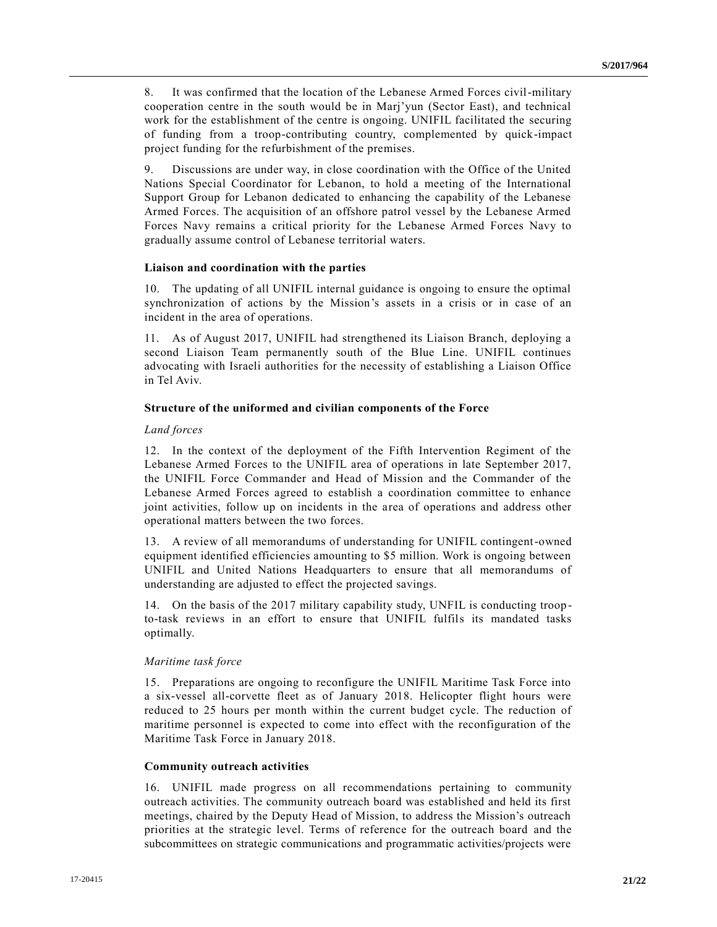8. It was confirmed that the location of the Lebanese Armed Forces civil-military cooperation centre in the south would be in Marj'yun (Sector East), and technical work for the establishment of the centre is ongoing. UNIFIL facilitated the securing of funding from a troop-contributing country, complemented by quick-impact project funding for the refurbishment of the premises.

9. Discussions are under way, in close coordination with the Office of the United Nations Special Coordinator for Lebanon, to hold a meeting of the International Support Group for Lebanon dedicated to enhancing the capability of the Lebanese Armed Forces. The acquisition of an offshore patrol vessel by the Lebanese Armed Forces Navy remains a critical priority for the Lebanese Armed Forces Navy to gradually assume control of Lebanese territorial waters.

#### **Liaison and coordination with the parties**

10. The updating of all UNIFIL internal guidance is ongoing to ensure the optimal synchronization of actions by the Mission's assets in a crisis or in case of an incident in the area of operations.

11. As of August 2017, UNIFIL had strengthened its Liaison Branch, deploying a second Liaison Team permanently south of the Blue Line. UNIFIL continues advocating with Israeli authorities for the necessity of establishing a Liaison Office in Tel Aviv.

#### **Structure of the uniformed and civilian components of the Force**

#### *Land forces*

12. In the context of the deployment of the Fifth Intervention Regiment of the Lebanese Armed Forces to the UNIFIL area of operations in late September 2017, the UNIFIL Force Commander and Head of Mission and the Commander of the Lebanese Armed Forces agreed to establish a coordination committee to enhance joint activities, follow up on incidents in the area of operations and address other operational matters between the two forces.

13. A review of all memorandums of understanding for UNIFIL contingent-owned equipment identified efficiencies amounting to \$5 million. Work is ongoing between UNIFIL and United Nations Headquarters to ensure that all memorandums of understanding are adjusted to effect the projected savings.

14. On the basis of the 2017 military capability study, UNFIL is conducting troop to-task reviews in an effort to ensure that UNIFIL fulfils its mandated tasks optimally.

#### *Maritime task force*

15. Preparations are ongoing to reconfigure the UNIFIL Maritime Task Force into a six-vessel all-corvette fleet as of January 2018. Helicopter flight hours were reduced to 25 hours per month within the current budget cycle. The reduction of maritime personnel is expected to come into effect with the reconfiguration of the Maritime Task Force in January 2018.

#### **Community outreach activities**

16. UNIFIL made progress on all recommendations pertaining to community outreach activities. The community outreach board was established and held its first meetings, chaired by the Deputy Head of Mission, to address the Mission's outreach priorities at the strategic level. Terms of reference for the outreach board and the subcommittees on strategic communications and programmatic activities/projects were